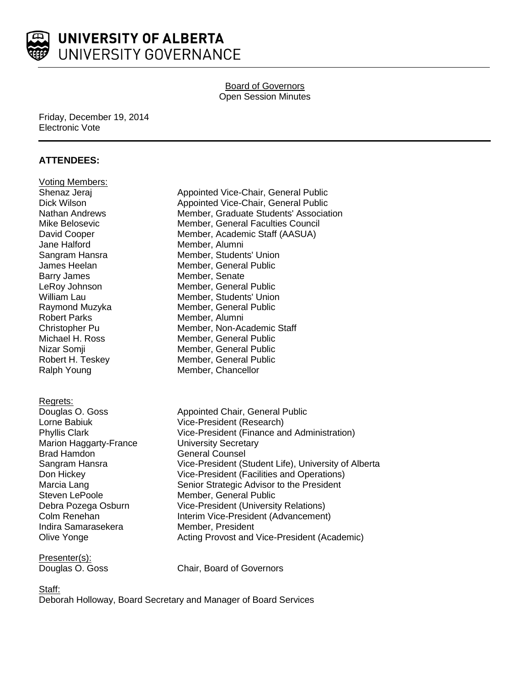

## Board of Governors Open Session Minutes

#### Friday, December 19, 2014 Electronic Vote

### **ATTENDEES:**

| <b>Voting Members:</b><br>Shenaz Jeraj<br>Dick Wilson<br>Nathan Andrews<br>Mike Belosevic<br>David Cooper<br>Jane Halford<br>Sangram Hansra<br>James Heelan<br><b>Barry James</b><br>LeRoy Johnson<br><b>William Lau</b><br>Raymond Muzyka<br><b>Robert Parks</b><br>Christopher Pu<br>Michael H. Ross<br>Nizar Somji<br>Robert H. Teskey<br>Ralph Young | Appointed Vice-Chair, General Public<br>Appointed Vice-Chair, General Public<br>Member, Graduate Students' Association<br>Member, General Faculties Council<br>Member, Academic Staff (AASUA)<br>Member, Alumni<br>Member, Students' Union<br>Member, General Public<br>Member, Senate<br>Member, General Public<br>Member, Students' Union<br>Member, General Public<br>Member, Alumni<br>Member, Non-Academic Staff<br>Member, General Public<br>Member, General Public<br>Member, General Public<br>Member, Chancellor |
|----------------------------------------------------------------------------------------------------------------------------------------------------------------------------------------------------------------------------------------------------------------------------------------------------------------------------------------------------------|---------------------------------------------------------------------------------------------------------------------------------------------------------------------------------------------------------------------------------------------------------------------------------------------------------------------------------------------------------------------------------------------------------------------------------------------------------------------------------------------------------------------------|
| Regrets:<br>Douglas O. Goss<br>Lorne Babiuk<br><b>Phyllis Clark</b><br><b>Marion Haggarty-France</b><br><b>Brad Hamdon</b><br>Sangram Hansra<br>Don Hickey<br>Marcia Lang<br>Steven LePoole<br>Debra Pozega Osburn<br>Colm Renehan<br>Indira Samarasekera<br>Olive Yonge                                                                                 | Appointed Chair, General Public<br>Vice-President (Research)<br>Vice-President (Finance and Administration)<br><b>University Secretary</b><br><b>General Counsel</b><br>Vice-President (Student Life), University of Alberta<br>Vice-President (Facilities and Operations)<br>Senior Strategic Advisor to the President<br>Member, General Public<br><b>Vice-President (University Relations)</b><br>Interim Vice-President (Advancement)<br>Member, President<br>Acting Provost and Vice-President (Academic)            |
| <b>D</b> 1                                                                                                                                                                                                                                                                                                                                               |                                                                                                                                                                                                                                                                                                                                                                                                                                                                                                                           |

Presenter(s):

Douglas O. Goss Chair, Board of Governors

## Staff:

Deborah Holloway, Board Secretary and Manager of Board Services